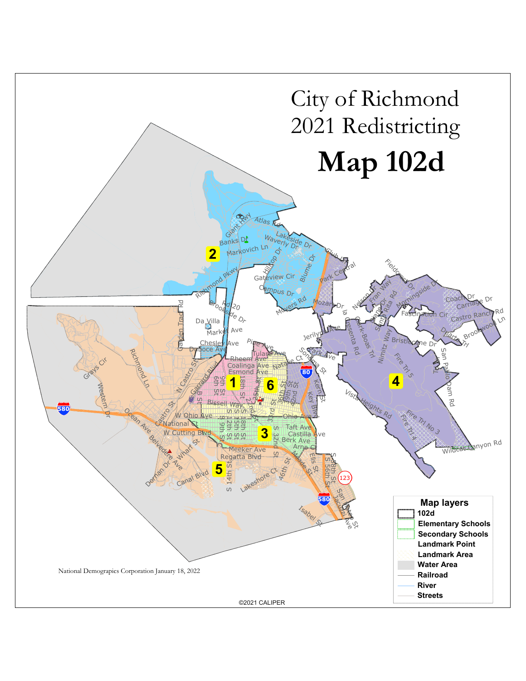